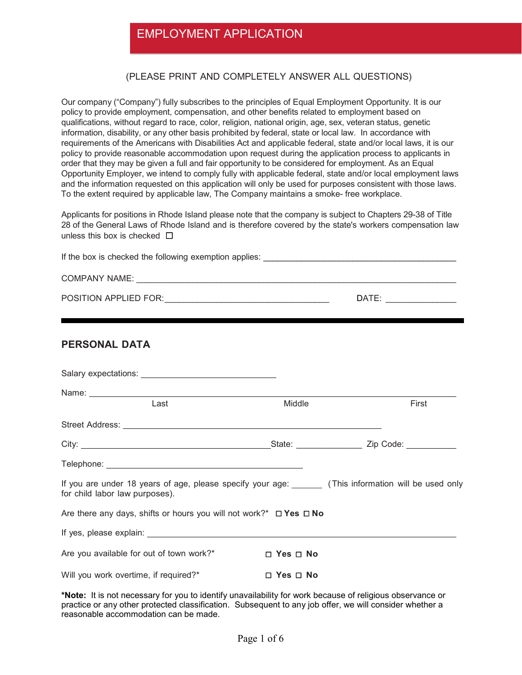## EMPLOYMENT APPLICATION

#### (PLEASE PRINT AND COMPLETELY ANSWER ALL QUESTIONS)

Our company ("Company") fully subscribes to the principles of Equal Employment Opportunity. It is our policy to provide employment, compensation, and other benefits related to employment based on qualifications, without regard to race, color, religion, national origin, age, sex, veteran status, genetic information, disability, or any other basis prohibited by federal, state or local law. In accordance with requirements of the Americans with Disabilities Act and applicable federal, state and/or local laws, it is our policy to provide reasonable accommodation upon request during the application process to applicants in order that they may be given a full and fair opportunity to be considered for employment. As an Equal Opportunity Employer, we intend to comply fully with applicable federal, state and/or local employment laws and the information requested on this application will only be used for purposes consistent with those laws. To the extent required by applicable law, The Company maintains a smoke- free workplace.

Applicants for positions in Rhode Island please note that the company is subject to Chapters 29-38 of Title 28 of the General Laws of Rhode Island and is therefore covered by the state's workers compensation law unless this box is checked **□** 

| <b>PERSONAL DATA</b>                                                                                                                     |                      |       |
|------------------------------------------------------------------------------------------------------------------------------------------|----------------------|-------|
|                                                                                                                                          |                      |       |
|                                                                                                                                          |                      |       |
| Last                                                                                                                                     | Middle               | First |
|                                                                                                                                          |                      |       |
| City: <u>City:</u> Zip Code: 2014                                                                                                        |                      |       |
|                                                                                                                                          |                      |       |
| If you are under 18 years of age, please specify your age: _______ (This information will be used only<br>for child labor law purposes). |                      |       |
| Are there any days, shifts or hours you will not work?* $\Box$ Yes $\Box$ No                                                             |                      |       |
|                                                                                                                                          |                      |       |
| Are you available for out of town work?*                                                                                                 | $\Box$ Yes $\Box$ No |       |
| Will you work overtime, if required?*                                                                                                    | $\Box$ Yes $\Box$ No |       |

**\*Note:** It is not necessary for you to identify unavailability for work because of religious observance or practice or any other protected classification. Subsequent to any job offer, we will consider whether a reasonable accommodation can be made.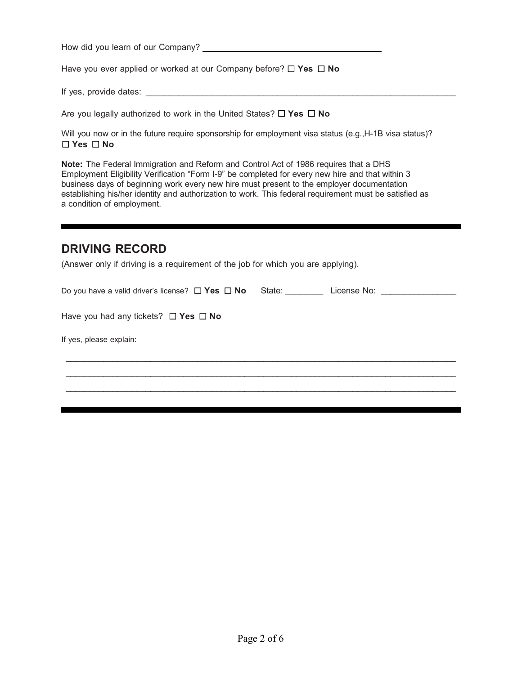How did you learn of our Company?

Have you ever applied or worked at our Company before? ☐ **Yes** ☐ **No** 

If yes, provide dates: \_\_\_\_\_\_\_\_\_\_\_\_\_\_\_\_\_\_\_\_\_\_\_\_\_\_\_\_\_\_\_\_\_\_\_\_\_\_\_\_\_\_\_\_\_\_\_\_\_\_\_\_\_\_\_\_\_\_\_\_\_\_\_\_\_\_

Are you legally authorized to work in the United States? ☐ **Yes** ☐ **No** 

Will you now or in the future require sponsorship for employment visa status (e.g., H-1B visa status)? ☐ **Yes** ☐ **No**

**Note:** The Federal Immigration and Reform and Control Act of 1986 requires that a DHS Employment Eligibility Verification "Form I-9" be completed for every new hire and that within 3 business days of beginning work every new hire must present to the employer documentation establishing his/her identity and authorization to work. This federal requirement must be satisfied as a condition of employment.

#### **DRIVING RECORD**

(Answer only if driving is a requirement of the job for which you are applying).

| Do you have a valid driver's license? $\Box$ Yes $\Box$ No | State: State: | License No: The Contract of the Contract of the Contract of the Contract of the Contract of the Contract of the Contract of the Contract of the Contract of the Contract of the Contract of the Contract of the Contract of th |
|------------------------------------------------------------|---------------|--------------------------------------------------------------------------------------------------------------------------------------------------------------------------------------------------------------------------------|
|                                                            |               |                                                                                                                                                                                                                                |
| Have you had any tickets? $\Box$ Yes $\Box$ No             |               |                                                                                                                                                                                                                                |
| If yes, please explain:                                    |               |                                                                                                                                                                                                                                |
|                                                            |               |                                                                                                                                                                                                                                |
|                                                            |               |                                                                                                                                                                                                                                |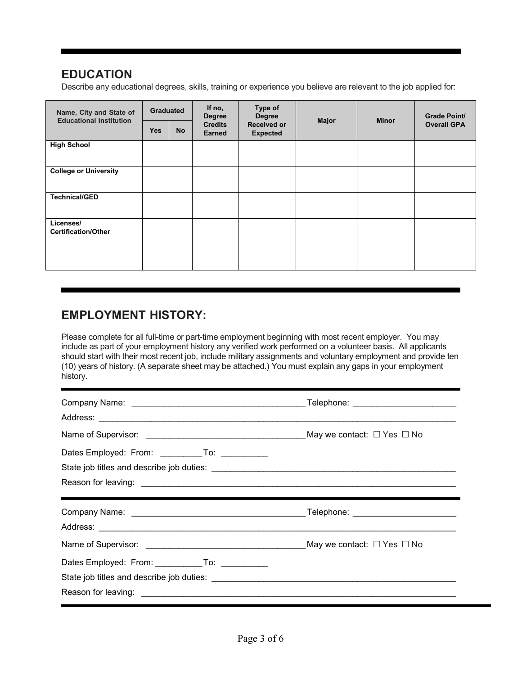## **EDUCATION**

Describe any educational degrees, skills, training or experience you believe are relevant to the job applied for:

| Name, City and State of<br><b>Educational Institution</b> | <b>Graduated</b> |           | If no,<br><b>Degree</b><br><b>Credits</b><br><b>Earned</b> | Type of<br><b>Degree</b><br>Major<br><b>Received or</b><br><b>Expected</b> |  | <b>Minor</b>       | <b>Grade Point/</b> |
|-----------------------------------------------------------|------------------|-----------|------------------------------------------------------------|----------------------------------------------------------------------------|--|--------------------|---------------------|
|                                                           | <b>Yes</b>       | <b>No</b> |                                                            |                                                                            |  | <b>Overall GPA</b> |                     |
| <b>High School</b>                                        |                  |           |                                                            |                                                                            |  |                    |                     |
| <b>College or University</b>                              |                  |           |                                                            |                                                                            |  |                    |                     |
| <b>Technical/GED</b>                                      |                  |           |                                                            |                                                                            |  |                    |                     |
| Licenses/<br><b>Certification/Other</b>                   |                  |           |                                                            |                                                                            |  |                    |                     |

# **EMPLOYMENT HISTORY:**

Please complete for all full-time or part-time employment beginning with most recent employer. You may include as part of your employment history any verified work performed on a volunteer basis. All applicants should start with their most recent job, include military assignments and voluntary employment and provide ten (10) years of history. (A separate sheet may be attached.) You must explain any gaps in your employment history.

| Dates Employed: From: ____________To: _____________ |  |
|-----------------------------------------------------|--|
|                                                     |  |
|                                                     |  |
|                                                     |  |
|                                                     |  |
|                                                     |  |
|                                                     |  |
|                                                     |  |
| Dates Employed: From: To: To:                       |  |
|                                                     |  |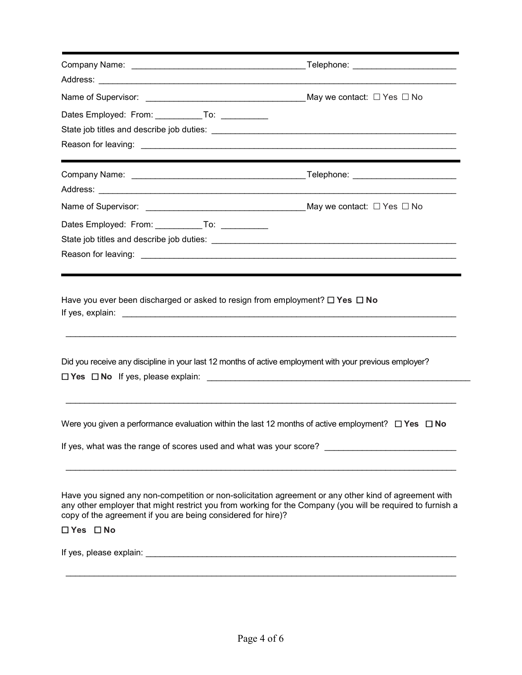| Dates Employed: From: _____________To: ____________          |                                                                                                                                                                                                                     |
|--------------------------------------------------------------|---------------------------------------------------------------------------------------------------------------------------------------------------------------------------------------------------------------------|
|                                                              |                                                                                                                                                                                                                     |
|                                                              |                                                                                                                                                                                                                     |
|                                                              |                                                                                                                                                                                                                     |
|                                                              |                                                                                                                                                                                                                     |
|                                                              |                                                                                                                                                                                                                     |
| Dates Employed: From: _____________To: ______________        |                                                                                                                                                                                                                     |
|                                                              |                                                                                                                                                                                                                     |
|                                                              |                                                                                                                                                                                                                     |
|                                                              | Did you receive any discipline in your last 12 months of active employment with your previous employer?                                                                                                             |
|                                                              | Were you given a performance evaluation within the last 12 months of active employment? $\Box$ Yes $\Box$ No                                                                                                        |
|                                                              | If yes, what was the range of scores used and what was your score?                                                                                                                                                  |
| copy of the agreement if you are being considered for hire)? | Have you signed any non-competition or non-solicitation agreement or any other kind of agreement with<br>any other employer that might restrict you from working for the Company (you will be required to furnish a |
| $\Box$ Yes $\Box$ No                                         |                                                                                                                                                                                                                     |
|                                                              |                                                                                                                                                                                                                     |
|                                                              |                                                                                                                                                                                                                     |
|                                                              |                                                                                                                                                                                                                     |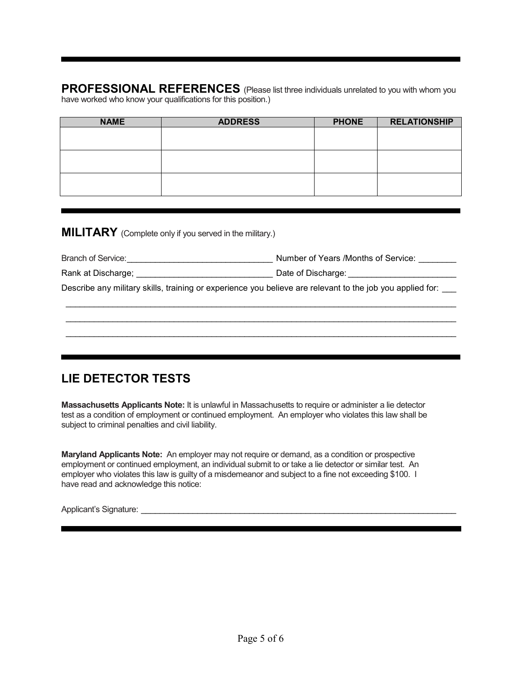**PROFESSIONAL REFERENCES** (Please list three individuals unrelated to you with whom you have worked who know your qualifications for this position.)

| <b>NAME</b> | <b>ADDRESS</b> | <b>PHONE</b> | <b>RELATIONSHIP</b> |
|-------------|----------------|--------------|---------------------|
|             |                |              |                     |
|             |                |              |                     |
|             |                |              |                     |
|             |                |              |                     |
|             |                |              |                     |
|             |                |              |                     |

**MILITARY** (Complete only if you served in the military.)

| <b>Branch of Service:</b> | Number of Years /Months of Service: |  |
|---------------------------|-------------------------------------|--|
|                           |                                     |  |

| Rank at Discharge; | Date of Discharge: |
|--------------------|--------------------|
|--------------------|--------------------|

Describe any military skills, training or experience you believe are relevant to the job you applied for:

\_\_\_\_\_\_\_\_\_\_\_\_\_\_\_\_\_\_\_\_\_\_\_\_\_\_\_\_\_\_\_\_\_\_\_\_\_\_\_\_\_\_\_\_\_\_\_\_\_\_\_\_\_\_\_\_\_\_\_\_\_\_\_\_\_\_\_\_\_\_\_\_\_\_\_\_\_\_\_\_\_\_\_ \_\_\_\_\_\_\_\_\_\_\_\_\_\_\_\_\_\_\_\_\_\_\_\_\_\_\_\_\_\_\_\_\_\_\_\_\_\_\_\_\_\_\_\_\_\_\_\_\_\_\_\_\_\_\_\_\_\_\_\_\_\_\_\_\_\_\_\_\_\_\_\_\_\_\_\_\_\_\_\_\_\_\_ \_\_\_\_\_\_\_\_\_\_\_\_\_\_\_\_\_\_\_\_\_\_\_\_\_\_\_\_\_\_\_\_\_\_\_\_\_\_\_\_\_\_\_\_\_\_\_\_\_\_\_\_\_\_\_\_\_\_\_\_\_\_\_\_\_\_\_\_\_\_\_\_\_\_\_\_\_\_\_\_\_\_\_

### **LIE DETECTOR TESTS**

**Massachusetts Applicants Note:** It is unlawful in Massachusetts to require or administer a lie detector test as a condition of employment or continued employment. An employer who violates this law shall be subject to criminal penalties and civil liability.

**Maryland Applicants Note:** An employer may not require or demand, as a condition or prospective employment or continued employment, an individual submit to or take a lie detector or similar test. An employer who violates this law is guilty of a misdemeanor and subject to a fine not exceeding \$100. I have read and acknowledge this notice:

Applicant's Signature:  $\Box$